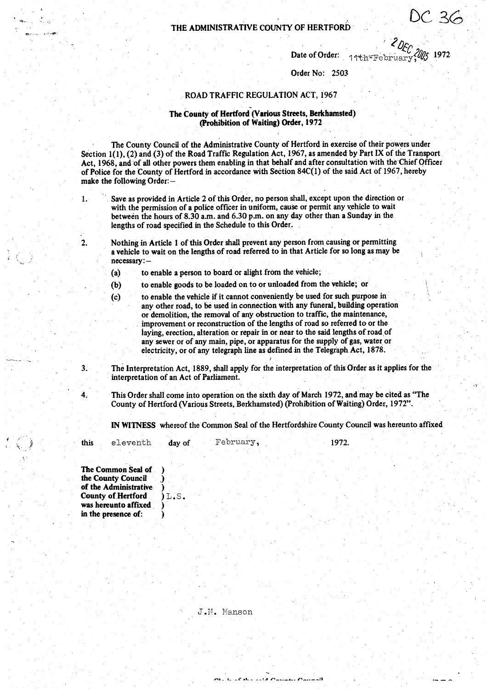**THE ADMINISTRATIVE COUNTY OF HERTFORD**

 $DEC$  2000 1977

Date of Order: 14th=February

**Order No: 2503**

## **ROAD TRAFFIC** REGULATION ACT, 1967

## **The County of Hertford** (**Various Streets**, **Berkhamsted) (Prohibition of Waiting**) **Order, 19.72**

**The County Council of the Administrative County of Hertford in exercise of their powers under Section 1** ( **1), (2) and** (**3) of the Road Traffic Regulation Act, 1967, as amended by Part IX of the Transport, Act, 1968**, **and'of all other powers them enabling in that behalf and after consultation with the Chief Officer of Police for the County of Hertford in accordance with Section 84C(1) of the said Act of 1967, hereby make the following Order: -**

**1. Save as provided in Article 2 of this Order, no person shall, except upon the direction or** with the permission of a police officer in uniform, cause or permit any vehicle to wait **between the hours of 8.30 a** .**m. and 6.30 p**.**m. on any day other than a Sunday in the. lengths of road specified in the Schedule to this Order.**

2. Nothing in Article 1 of this Order shall prevent any person from causing or permitting **a vehicle to wait on the lengths of road referred to in that Article for so long as may be necessary: -**

**(a) to enable a person to board or alight from the vehicle;**

**(b) to enable goods to be loaded on to or unloaded from the vehicle; or**

**(c) to enable the vehicle if it cannot conveniently be used for such purpose in** any other road, to be used in connection with any funeral, building operation **or demolition**, **the removal of any obstruction to traffic; the maintenance, improvement or reconstruction of the lengths of road so referred to or the laying**, **erection, alteration or repair in or near to the said lengths of road,of** any sewer or of any main, pipe, or apparatus for the supply of gas, water or electricity, or of any telegraph line as defined in the Telegraph Act, 1878.

**3. The Interpretation Act, 1889, shall apply for the interpretation of this Order as it applies for the interpretation of an Act of Parliament.**

**4. This Order shall come into operation on the sixth day of March 1972, andmay be cited as "The County of Hertford** (**Various Streets, Berkhamsted) (Prohibition of Waiting) Order** , 1972".

**OLL LEAL LIST CAULU CAULAR** 

**IN WITNESS whereof the Common Seal of the Hertfordshire County Council was hereunto affixed**

1972.

**this** eleventh **day of** February,

**The Common Seal of ) the County Council ) of the Administrative ) County of.Hertford ) L . S . was hereunto affixed ) in the presence of: )**

J.i?. Manson